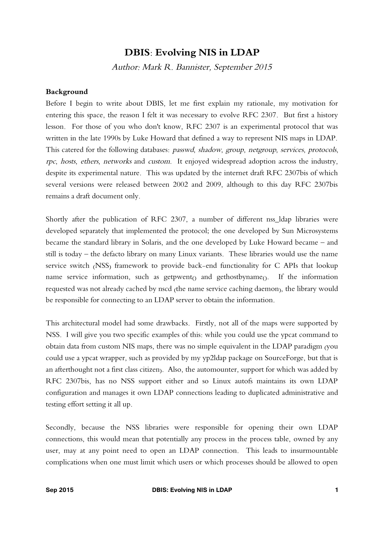# **DBIS: Evolving NIS in LDAP**

Author: Mark R. Bannister, September 2015

#### **Background**

Before I begin to write about DBIS, let me first explain my rationale, my motivation for entering this space, the reason I felt it was necessary to evolve RFC 2307. But first a history lesson. For those of you who don't know, RFC 2307 is an experimental protocol that was written in the late 1990s by Luke Howard that defined a way to represent NIS maps in LDAP. This catered for the following databases: passwd, shadow, group, netgroup, services, protocols, rpc, hosts, ethers, networks and custom. It enjoyed widespread adoption across the industry, despite its experimental nature. This was updated by the internet draft RFC 2307bis of which several versions were released between 2002 and 2009, although to this day RFC 2307bis remains a draft document only.

Shortly after the publication of RFC 2307, a number of different nss\_ldap libraries were developed separately that implemented the protocol; the one developed by Sun Microsystems became the standard library in Solaris, and the one developed by Luke Howard became – and still is today – the defacto library on many Linux variants. These libraries would use the name service switch (NSS) framework to provide back-end functionality for C APIs that lookup name service information, such as getpwent $\alpha$  and gethostbyname $\alpha$ . If the information requested was not already cached by nscd (the name service caching daemon), the library would be responsible for connecting to an LDAP server to obtain the information.

This architectural model had some drawbacks. Firstly, not all of the maps were supported by NSS. I will give you two specific examples of this: while you could use the ypcat command to obtain data from custom NIS maps, there was no simple equivalent in the LDAP paradigm (you could use a ypcat wrapper, such as provided by my yp2ldap package on SourceForge, but that is an afterthought not a first class citizen). Also, the automounter, support for which was added by RFC 2307bis, has no NSS support either and so Linux autofs maintains its own LDAP configuration and manages it own LDAP connections leading to duplicated administrative and testing effort setting it all up.

Secondly, because the NSS libraries were responsible for opening their own LDAP connections, this would mean that potentially any process in the process table, owned by any user, may at any point need to open an LDAP connection. This leads to insurmountable complications when one must limit which users or which processes should be allowed to open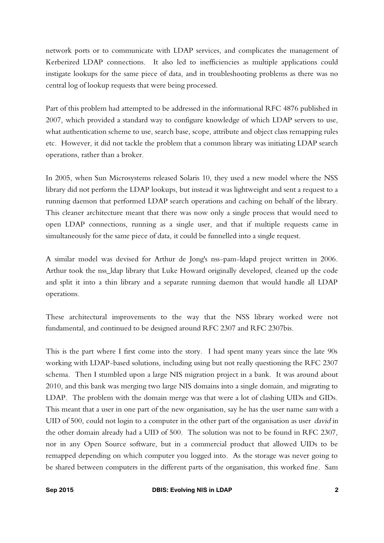network ports or to communicate with LDAP services, and complicates the management of Kerberized LDAP connections. It also led to inefficiencies as multiple applications could instigate lookups for the same piece of data, and in troubleshooting problems as there was no central log of lookup requests that were being processed.

Part of this problem had attempted to be addressed in the informational RFC 4876 published in 2007, which provided a standard way to configure knowledge of which LDAP servers to use, what authentication scheme to use, search base, scope, attribute and object class remapping rules etc. However, it did not tackle the problem that a common library was initiating LDAP search operations, rather than a broker.

In 2005, when Sun Microsystems released Solaris 10, they used a new model where the NSS library did not perform the LDAP lookups, but instead it was lightweight and sent a request to a running daemon that performed LDAP search operations and caching on behalf of the library. This cleaner architecture meant that there was now only a single process that would need to open LDAP connections, running as a single user, and that if multiple requests came in simultaneously for the same piece of data, it could be funnelled into a single request.

A similar model was devised for Arthur de Jong's nss-pam-ldapd project written in 2006. Arthur took the nss\_ldap library that Luke Howard originally developed, cleaned up the code and split it into a thin library and a separate running daemon that would handle all LDAP operations.

These architectural improvements to the way that the NSS library worked were not fundamental, and continued to be designed around RFC 2307 and RFC 2307bis.

This is the part where I first come into the story. I had spent many years since the late 90s working with LDAP-based solutions, including using but not really questioning the RFC 2307 schema. Then I stumbled upon a large NIS migration project in a bank. It was around about 2010, and this bank was merging two large NIS domains into a single domain, and migrating to LDAP. The problem with the domain merge was that were a lot of clashing UIDs and GIDs. This meant that a user in one part of the new organisation, say he has the user name sam with a UID of 500, could not login to a computer in the other part of the organisation as user *david* in the other domain already had a UID of 500. The solution was not to be found in RFC 2307, nor in any Open Source software, but in a commercial product that allowed UIDs to be remapped depending on which computer you logged into. As the storage was never going to be shared between computers in the different parts of the organisation, this worked fine. Sam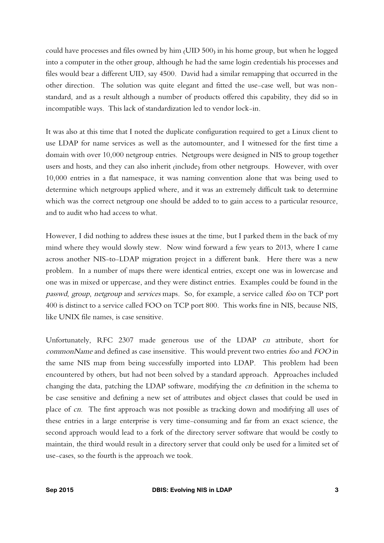could have processes and files owned by him (UID 500) in his home group, but when he logged into a computer in the other group, although he had the same login credentials his processes and files would bear a different UID, say 4500. David had a similar remapping that occurred in the other direction. The solution was quite elegant and fitted the use-case well, but was nonstandard, and as a result although a number of products offered this capability, they did so in incompatible ways. This lack of standardization led to vendor lock-in.

It was also at this time that I noted the duplicate configuration required to get a Linux client to use LDAP for name services as well as the automounter, and I witnessed for the first time a domain with over 10,000 netgroup entries. Netgroups were designed in NIS to group together users and hosts, and they can also inherit (include) from other netgroups. However, with over 10,000 entries in a flat namespace, it was naming convention alone that was being used to determine which netgroups applied where, and it was an extremely difficult task to determine which was the correct netgroup one should be added to to gain access to a particular resource, and to audit who had access to what.

However, I did nothing to address these issues at the time, but I parked them in the back of my mind where they would slowly stew. Now wind forward a few years to 2013, where I came across another NIS-to-LDAP migration project in a different bank. Here there was a new problem. In a number of maps there were identical entries, except one was in lowercase and one was in mixed or uppercase, and they were distinct entries. Examples could be found in the passwd, group, netgroup and services maps. So, for example, a service called foo on TCP port 400 is distinct to a service called FOO on TCP port 800. This works fine in NIS, because NIS, like UNIX file names, is case sensitive.

Unfortunately, RFC 2307 made generous use of the LDAP *cn* attribute, short for commonName and defined as case insensitive. This would prevent two entries foo and FOO in the same NIS map from being successfully imported into LDAP. This problem had been encountered by others, but had not been solved by a standard approach. Approaches included changing the data, patching the LDAP software, modifying the cn definition in the schema to be case sensitive and defining a new set of attributes and object classes that could be used in place of cn. The first approach was not possible as tracking down and modifying all uses of these entries in a large enterprise is very time-consuming and far from an exact science, the second approach would lead to a fork of the directory server software that would be costly to maintain, the third would result in a directory server that could only be used for a limited set of use-cases, so the fourth is the approach we took.

**Sep 2015 DBIS: Evolving NIS in LDAP 3**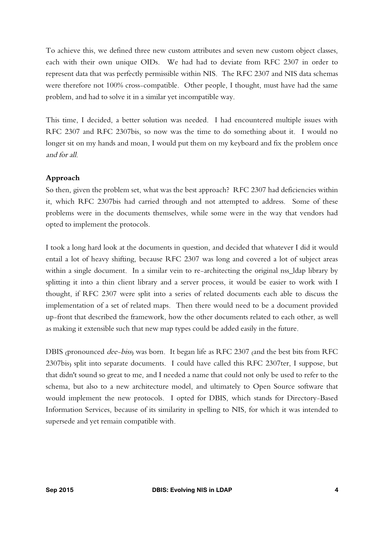To achieve this, we defined three new custom attributes and seven new custom object classes, each with their own unique OIDs. We had had to deviate from RFC 2307 in order to represent data that was perfectly permissible within NIS. The RFC 2307 and NIS data schemas were therefore not 100% cross-compatible. Other people, I thought, must have had the same problem, and had to solve it in a similar yet incompatible way.

This time, I decided, a better solution was needed. I had encountered multiple issues with RFC 2307 and RFC 2307bis, so now was the time to do something about it. I would no longer sit on my hands and moan, I would put them on my keyboard and fix the problem once and for all.

#### **Approach**

So then, given the problem set, what was the best approach? RFC 2307 had deficiencies within it, which RFC 2307bis had carried through and not attempted to address. Some of these problems were in the documents themselves, while some were in the way that vendors had opted to implement the protocols.

I took a long hard look at the documents in question, and decided that whatever I did it would entail a lot of heavy shifting, because RFC 2307 was long and covered a lot of subject areas within a single document. In a similar vein to re-architecting the original nss\_ldap library by splitting it into a thin client library and a server process, it would be easier to work with I thought, if RFC 2307 were split into a series of related documents each able to discuss the implementation of a set of related maps. Then there would need to be a document provided up-front that described the framework, how the other documents related to each other, as well as making it extensible such that new map types could be added easily in the future.

DBIS (pronounced dee-biss) was born. It began life as RFC 2307 (and the best bits from RFC 2307bis) split into separate documents. I could have called this RFC 2307ter, I suppose, but that didn't sound so great to me, and I needed a name that could not only be used to refer to the schema, but also to a new architecture model, and ultimately to Open Source software that would implement the new protocols. I opted for DBIS, which stands for Directory-Based Information Services, because of its similarity in spelling to NIS, for which it was intended to supersede and yet remain compatible with.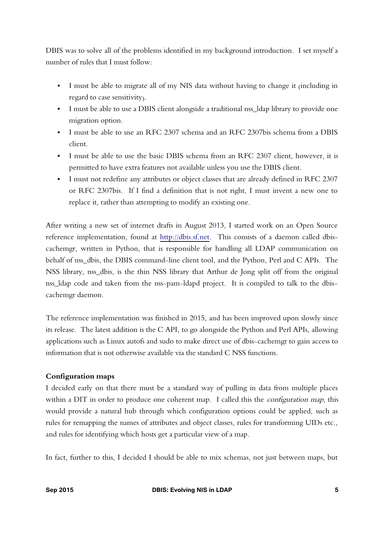DBIS was to solve all of the problems identified in my background introduction. I set myself a number of rules that I must follow:

- I must be able to migrate all of my NIS data without having to change it (including in regard to case sensitivity).
- I must be able to use a DBIS client alongside a traditional nss\_ldap library to provide one migration option.
- I must be able to use an RFC 2307 schema and an RFC 2307bis schema from a DBIS client.
- I must be able to use the basic DBIS schema from an RFC 2307 client, however, it is permitted to have extra features not available unless you use the DBIS client.
- I must not redefine any attributes or object classes that are already defined in RFC 2307 or RFC 2307bis. If I find a definition that is not right, I must invent a new one to replace it, rather than attempting to modify an existing one.

After writing a new set of internet drafts in August 2013, I started work on an Open Source reference implementation, found at [http://dbis.sf.net.](http://dbis.sf.net/) This consists of a daemon called dbiscachemgr, written in Python, that is responsible for handling all LDAP communication on behalf of nss\_dbis, the DBIS command-line client tool, and the Python, Perl and C APIs. The NSS library, nss\_dbis, is the thin NSS library that Arthur de Jong split off from the original nss\_ldap code and taken from the nss-pam-ldapd project. It is compiled to talk to the dbiscachemgr daemon.

The reference implementation was finished in 2015, and has been improved upon slowly since its release. The latest addition is the C API, to go alongside the Python and Perl APIs, allowing applications such as Linux autofs and sudo to make direct use of dbis-cachemgr to gain access to information that is not otherwise available via the standard C NSS functions.

## **Configuration maps**

I decided early on that there must be a standard way of pulling in data from multiple places within a DIT in order to produce one coherent map. I called this the *configuration map*, this would provide a natural hub through which configuration options could be applied, such as rules for remapping the names of attributes and object classes, rules for transforming UIDs etc., and rules for identifying which hosts get a particular view of a map.

In fact, further to this, I decided I should be able to mix schemas, not just between maps, but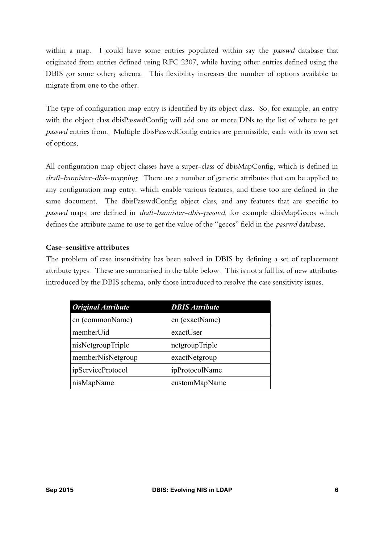within a map. I could have some entries populated within say the *passwd* database that originated from entries defined using RFC 2307, while having other entries defined using the DBIS (or some other) schema. This flexibility increases the number of options available to migrate from one to the other.

The type of configuration map entry is identified by its object class. So, for example, an entry with the object class dbisPasswdConfig will add one or more DNs to the list of where to get passwd entries from. Multiple dbisPasswdConfig entries are permissible, each with its own set of options.

All configuration map object classes have a super-class of dbisMapConfig, which is defined in draft-bannister-dbis-mapping. There are a number of generic attributes that can be applied to any configuration map entry, which enable various features, and these too are defined in the same document. The dbisPasswdConfig object class, and any features that are specific to passwd maps, are defined in draft-bannister-dbis-passwd, for example dbisMapGecos which defines the attribute name to use to get the value of the "gecos" field in the *passwd* database.

## **Case-sensitive attributes**

The problem of case insensitivity has been solved in DBIS by defining a set of replacement attribute types. These are summarised in the table below. This is not a full list of new attributes introduced by the DBIS schema, only those introduced to resolve the case sensitivity issues.

| <b>Original Attribute</b> | <b>DBIS Attribute</b> |
|---------------------------|-----------------------|
| cn (commonName)           | en (exactName)        |
| memberUid                 | exactUser             |
| nisNetgroupTriple         | netgroupTriple        |
| memberNisNetgroup         | exactNetgroup         |
| <i>ipServiceProtocol</i>  | ipProtocolName        |
| nisMapName                | customMapName         |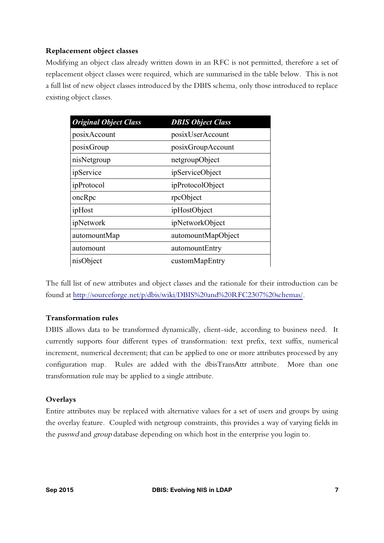# **Replacement object classes**

Modifying an object class already written down in an RFC is not permitted, therefore a set of replacement object classes were required, which are summarised in the table below. This is not a full list of new object classes introduced by the DBIS schema, only those introduced to replace existing object classes.

| <b>Original Object Class</b> | <b>DBIS Object Class</b> |
|------------------------------|--------------------------|
| posixAccount                 | posixUserAccount         |
| posixGroup                   | posixGroupAccount        |
| nisNetgroup                  | netgroupObject           |
| ipService                    | ipServiceObject          |
| ipProtocol                   | ipProtocolObject         |
| oncRpc                       | rpcObject                |
| ipHost                       | ipHostObject             |
| ipNetwork                    | ipNetworkObject          |
| automountMap                 | automountMapObject       |
| automount                    | automountEntry           |
| nisObject                    | customMapEntry           |

The full list of new attributes and object classes and the rationale for their introduction can be found at [http://sourceforge.net/p/dbis/wiki/DBIS%20and%20RFC2307%20schemas/.](http://sourceforge.net/p/dbis/wiki/DBIS%20and%20RFC2307%20schemas/)

## **Transformation rules**

DBIS allows data to be transformed dynamically, client-side, according to business need. It currently supports four different types of transformation: text prefix, text suffix, numerical increment, numerical decrement; that can be applied to one or more attributes processed by any configuration map. Rules are added with the dbisTransAttr attribute. More than one transformation rule may be applied to a single attribute.

## **Overlays**

Entire attributes may be replaced with alternative values for a set of users and groups by using the overlay feature. Coupled with netgroup constraints, this provides a way of varying fields in the *passwd* and group database depending on which host in the enterprise you login to.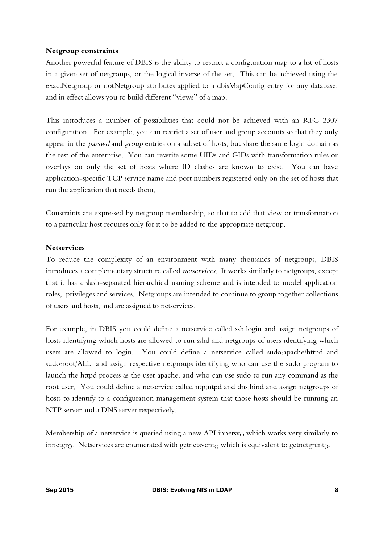#### **Netgroup constraints**

Another powerful feature of DBIS is the ability to restrict a configuration map to a list of hosts in a given set of netgroups, or the logical inverse of the set. This can be achieved using the exactNetgroup or notNetgroup attributes applied to a dbisMapConfig entry for any database, and in effect allows you to build different "views" of a map.

This introduces a number of possibilities that could not be achieved with an RFC 2307 configuration. For example, you can restrict a set of user and group accounts so that they only appear in the *passwd* and group entries on a subset of hosts, but share the same login domain as the rest of the enterprise. You can rewrite some UIDs and GIDs with transformation rules or overlays on only the set of hosts where ID clashes are known to exist. You can have application-specific TCP service name and port numbers registered only on the set of hosts that run the application that needs them.

Constraints are expressed by netgroup membership, so that to add that view or transformation to a particular host requires only for it to be added to the appropriate netgroup.

#### **Netservices**

To reduce the complexity of an environment with many thousands of netgroups, DBIS introduces a complementary structure called netservices. It works similarly to netgroups, except that it has a slash-separated hierarchical naming scheme and is intended to model application roles, privileges and services. Netgroups are intended to continue to group together collections of users and hosts, and are assigned to netservices.

For example, in DBIS you could define a netservice called ssh:login and assign netgroups of hosts identifying which hosts are allowed to run sshd and netgroups of users identifying which users are allowed to login. You could define a netservice called sudo:apache/httpd and sudo:root/ALL, and assign respective netgroups identifying who can use the sudo program to launch the httpd process as the user apache, and who can use sudo to run any command as the root user. You could define a netservice called ntp:ntpd and dns:bind and assign netgroups of hosts to identify to a configuration management system that those hosts should be running an NTP server and a DNS server respectively.

Membership of a netservice is queried using a new API innetsv $<sub>O</sub>$  which works very similarly to</sub> innetgr $(i)$ . Netservices are enumerated with getnetsvent $(i)$  which is equivalent to getnetgrent $(i)$ .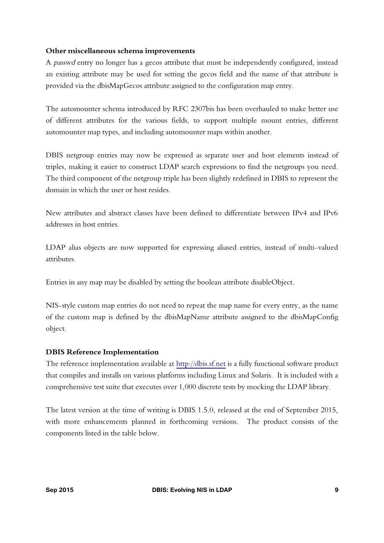#### **Other miscellaneous schema improvements**

A passwd entry no longer has a gecos attribute that must be independently configured, instead an existing attribute may be used for setting the gecos field and the name of that attribute is provided via the dbisMapGecos attribute assigned to the configuration map entry.

The automounter schema introduced by RFC 2307bis has been overhauled to make better use of different attributes for the various fields, to support multiple mount entries, different automounter map types, and including automounter maps within another.

DBIS netgroup entries may now be expressed as separate user and host elements instead of triples, making it easier to construct LDAP search expressions to find the netgroups you need. The third component of the netgroup triple has been slightly redefined in DBIS to represent the domain in which the user or host resides.

New attributes and abstract classes have been defined to differentiate between IPv4 and IPv6 addresses in host entries.

LDAP alias objects are now supported for expressing aliased entries, instead of multi-valued attributes.

Entries in any map may be disabled by setting the boolean attribute disableObject.

NIS-style custom map entries do not need to repeat the map name for every entry, as the name of the custom map is defined by the dbisMapName attribute assigned to the dbisMapConfig object.

## **DBIS Reference Implementation**

The reference implementation available at [http://dbis.sf.net](http://dbis.sf.net/) is a fully functional software product that compiles and installs on various platforms including Linux and Solaris. It is included with a comprehensive test suite that executes over 1,000 discrete tests by mocking the LDAP library.

The latest version at the time of writing is DBIS 1.5.0, released at the end of September 2015, with more enhancements planned in forthcoming versions. The product consists of the components listed in the table below.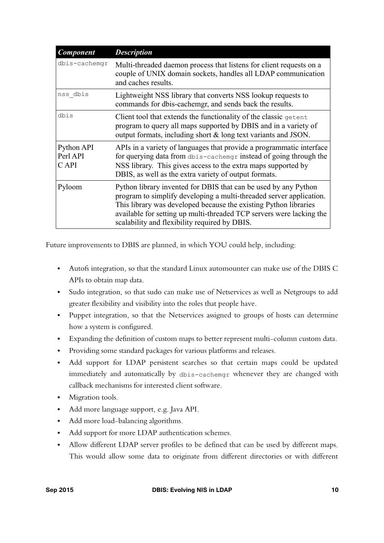| <b>Component</b>                | <b>Description</b>                                                                                                                                                                                                                                                                                                                  |
|---------------------------------|-------------------------------------------------------------------------------------------------------------------------------------------------------------------------------------------------------------------------------------------------------------------------------------------------------------------------------------|
| dbis-cachemgr                   | Multi-threaded daemon process that listens for client requests on a<br>couple of UNIX domain sockets, handles all LDAP communication<br>and caches results.                                                                                                                                                                         |
| nss dbis                        | Lightweight NSS library that converts NSS lookup requests to<br>commands for dbis-cachemgr, and sends back the results.                                                                                                                                                                                                             |
| dbis                            | Client tool that extends the functionality of the classic getent<br>program to query all maps supported by DBIS and in a variety of<br>output formats, including short & long text variants and JSON.                                                                                                                               |
| Python API<br>Perl API<br>C API | APIs in a variety of languages that provide a programmatic interface<br>for querying data from dbis-cachemgr instead of going through the<br>NSS library. This gives access to the extra maps supported by<br>DBIS, as well as the extra variety of output formats.                                                                 |
| Pyloom                          | Python library invented for DBIS that can be used by any Python<br>program to simplify developing a multi-threaded server application.<br>This library was developed because the existing Python libraries<br>available for setting up multi-threaded TCP servers were lacking the<br>scalability and flexibility required by DBIS. |

Future improvements to DBIS are planned, in which YOU could help, including:

- Autofs integration, so that the standard Linux automounter can make use of the DBIS C APIs to obtain map data.
- Sudo integration, so that sudo can make use of Netservices as well as Netgroups to add greater flexibility and visibility into the roles that people have.
- Puppet integration, so that the Netservices assigned to groups of hosts can determine how a system is configured.
- Expanding the definition of custom maps to better represent multi-column custom data.
- Providing some standard packages for various platforms and releases.
- Add support for LDAP persistent searches so that certain maps could be updated immediately and automatically by dbis-cachemgr whenever they are changed with callback mechanisms for interested client software.
- Migration tools.
- Add more language support, e.g. Java API.
- Add more load-balancing algorithms.
- Add support for more LDAP authentication schemes.
- Allow different LDAP server profiles to be defined that can be used by different maps. This would allow some data to originate from different directories or with different